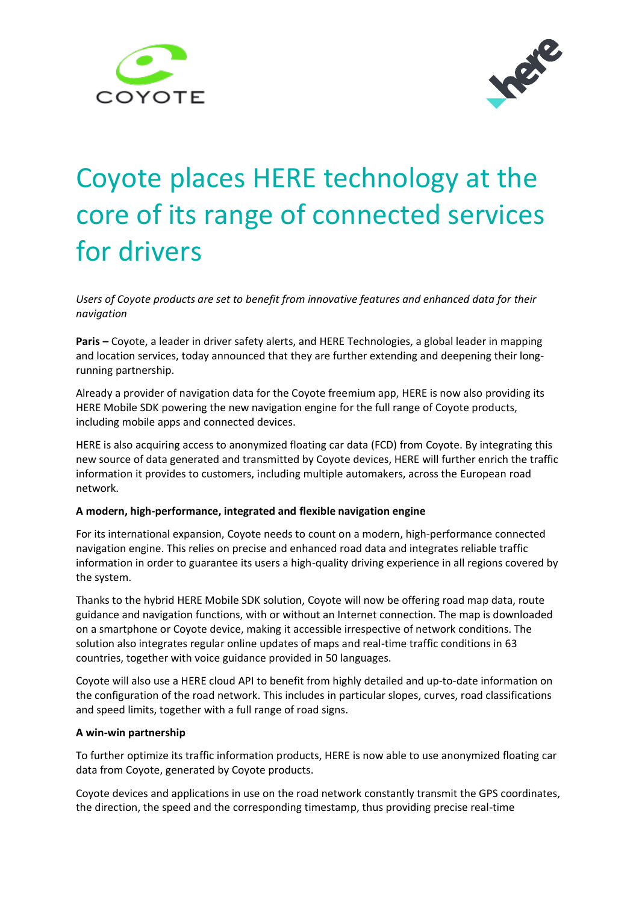



# Coyote places HERE technology at the core of its range of connected services for drivers

*Users of Coyote products are set to benefit from innovative features and enhanced data for their navigation*

**Paris –** Coyote, a leader in driver safety alerts, and HERE Technologies, a global leader in mapping and location services, today announced that they are further extending and deepening their longrunning partnership.

Already a provider of [navigation data](http://360.here.com/2016/03/30/here-turn-by-turn-navigation-is-added-to-the-icoyote-app/) for the Coyote freemium app, HERE is now also providing its HERE Mobile SDK powering the new navigation engine for the full range of Coyote products, including mobile apps and connected devices.

HERE is also acquiring access to anonymized floating car data (FCD) from Coyote. By integrating this new source of data generated and transmitted by Coyote devices, HERE will further enrich the traffic information it provides to customers, including multiple automakers, across the European road network.

## **A modern, high-performance, integrated and flexible navigation engine**

For its international expansion, Coyote needs to count on a modern, high-performance connected navigation engine. This relies on precise and enhanced road data and integrates reliable traffic information in order to guarantee its users a high-quality driving experience in all regions covered by the system.

Thanks to the hybrid HERE Mobile SDK solution, Coyote will now be offering road map data, route guidance and navigation functions, with or without an Internet connection. The map is downloaded on a smartphone or Coyote device, making it accessible irrespective of network conditions. The solution also integrates regular online updates of maps and real-time traffic conditions in 63 countries, together with voice guidance provided in 50 languages.

Coyote will also use a HERE cloud API to benefit from highly detailed and up-to-date information on the configuration of the road network. This includes in particular slopes, curves, road classifications and speed limits, together with a full range of road signs.

## **A win-win partnership**

To further optimize its traffic information products, HERE is now able to use anonymized floating car data from Coyote, generated by Coyote products.

Coyote devices and applications in use on the road network constantly transmit the GPS coordinates, the direction, the speed and the corresponding timestamp, thus providing precise real-time